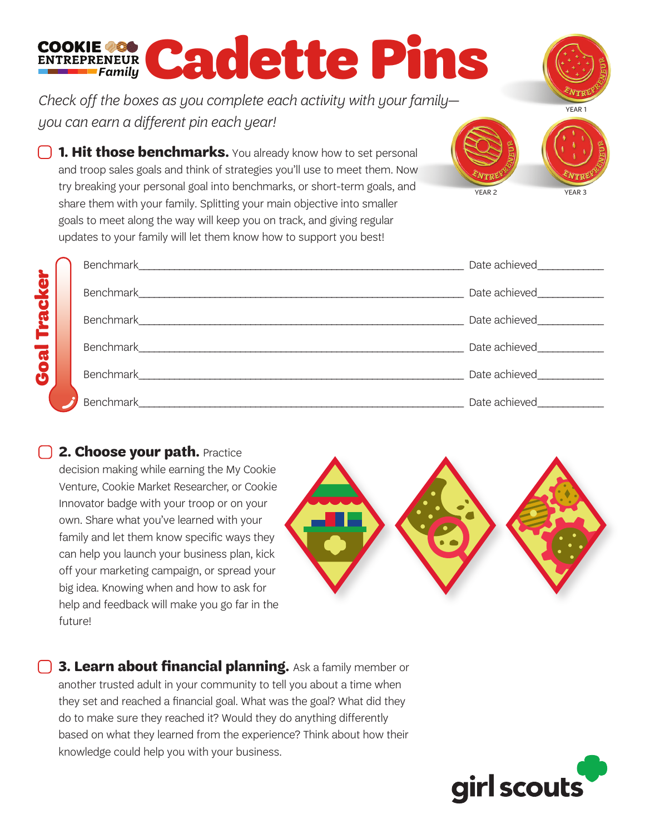## Cookie assessed and earlier Pins

*Check off the boxes as you complete each activity with your family you can earn a different pin each year!* 

**1. Hit those benchmarks.** You already know how to set personal and troop sales goals and think of strategies you'll use to meet them. Now try breaking your personal goal into benchmarks, or short-term goals, and share them with your family. Splitting your main objective into smaller goals to meet along the way will keep you on track, and giving regular updates to your family will let them know how to support you best!

|                     |                                | Date achieved<br><u>Letteral</u> |
|---------------------|--------------------------------|----------------------------------|
| <b>Goal Tracker</b> | Benchmark                      | Date achieved                    |
|                     | Benchmark                      | Date achieved                    |
|                     | Benchmark_                     | Date achieved                    |
|                     | <b>Benchmark Exercise 1999</b> | Date achieved                    |
|                     | Benchmark_                     | Date achieved                    |

## **12. Choose your path.** Practice

decision making while earning the My Cookie Venture, Cookie Market Researcher, or Cookie Innovator badge with your troop or on your own. Share what you've learned with your family and let them know specific ways they can help you launch your business plan, kick off your marketing campaign, or spread your big idea. Knowing when and how to ask for help and feedback will make you go far in the future!

**13. Learn about financial planning.** Ask a family member or another trusted adult in your community to tell you about a time when they set and reached a financial goal. What was the goal? What did they do to make sure they reached it? Would they do anything differently based on what they learned from the experience? Think about how their knowledge could help you with your business.